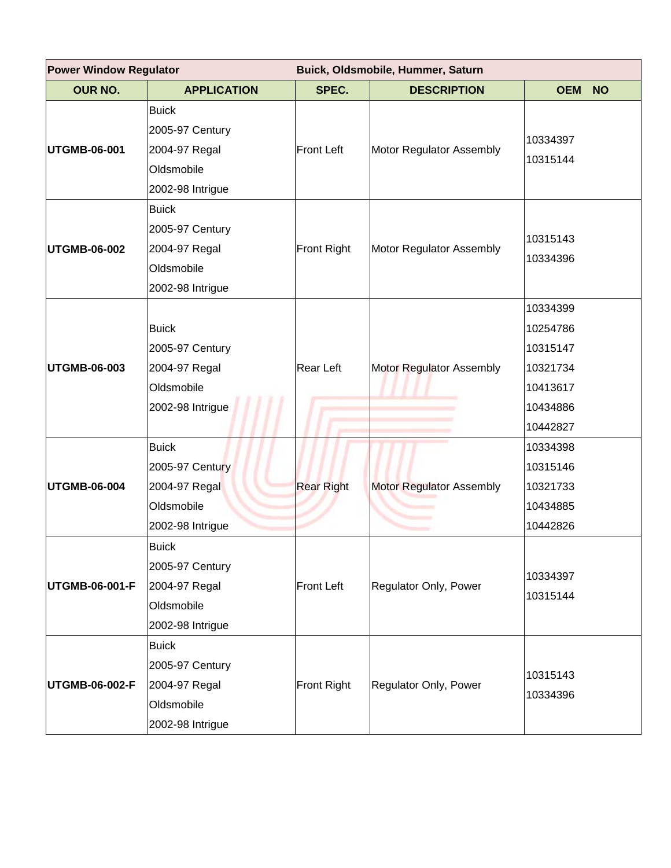| <b>Power Window Regulator</b> |                    | Buick, Oldsmobile, Hummer, Saturn |                                 |                         |  |
|-------------------------------|--------------------|-----------------------------------|---------------------------------|-------------------------|--|
| <b>OUR NO.</b>                | <b>APPLICATION</b> | SPEC.                             | <b>DESCRIPTION</b>              | <b>OEM</b><br><b>NO</b> |  |
| <b>UTGMB-06-001</b>           | <b>Buick</b>       |                                   |                                 |                         |  |
|                               | 2005-97 Century    |                                   |                                 | 10334397                |  |
|                               | 2004-97 Regal      | <b>Front Left</b>                 | Motor Regulator Assembly        | 10315144                |  |
|                               | Oldsmobile         |                                   |                                 |                         |  |
|                               | 2002-98 Intrigue   |                                   |                                 |                         |  |
|                               | <b>Buick</b>       |                                   |                                 |                         |  |
|                               | 2005-97 Century    |                                   |                                 | 10315143                |  |
| <b>UTGMB-06-002</b>           | 2004-97 Regal      | <b>Front Right</b>                | Motor Regulator Assembly        |                         |  |
|                               | Oldsmobile         |                                   |                                 | 10334396                |  |
|                               | 2002-98 Intrigue   |                                   |                                 |                         |  |
|                               |                    |                                   |                                 | 10334399                |  |
|                               | <b>Buick</b>       |                                   |                                 | 10254786                |  |
|                               | 2005-97 Century    |                                   | Motor Regulator Assembly        | 10315147                |  |
| UTGMB-06-003                  | 2004-97 Regal      | <b>Rear Left</b>                  |                                 | 10321734                |  |
|                               | Oldsmobile         |                                   |                                 | 10413617                |  |
|                               | 2002-98 Intrigue   |                                   |                                 | 10434886                |  |
|                               |                    |                                   |                                 | 10442827                |  |
|                               | <b>Buick</b>       |                                   |                                 | 10334398                |  |
|                               | 2005-97 Century    |                                   |                                 | 10315146                |  |
| <b>UTGMB-06-004</b>           | 2004-97 Regal      | <b>Rear Right</b>                 | <b>Motor Regulator Assembly</b> | 10321733                |  |
|                               | Oldsmobile         |                                   |                                 | 10434885                |  |
|                               | 2002-98 Intrigue   |                                   |                                 | 10442826                |  |
|                               | <b>Buick</b>       |                                   |                                 |                         |  |
|                               | 2005-97 Century    | <b>Front Left</b>                 | Regulator Only, Power           | 10334397                |  |
| <b>UTGMB-06-001-F</b>         | 2004-97 Regal      |                                   |                                 | 10315144                |  |
|                               | Oldsmobile         |                                   |                                 |                         |  |
|                               | 2002-98 Intrigue   |                                   |                                 |                         |  |
| UTGMB-06-002-F                | <b>Buick</b>       |                                   |                                 |                         |  |
|                               | 2005-97 Century    |                                   |                                 |                         |  |
|                               | 2004-97 Regal      | Front Right                       | Regulator Only, Power           | 10315143                |  |
|                               | Oldsmobile         |                                   |                                 | 10334396                |  |
|                               | 2002-98 Intrigue   |                                   |                                 |                         |  |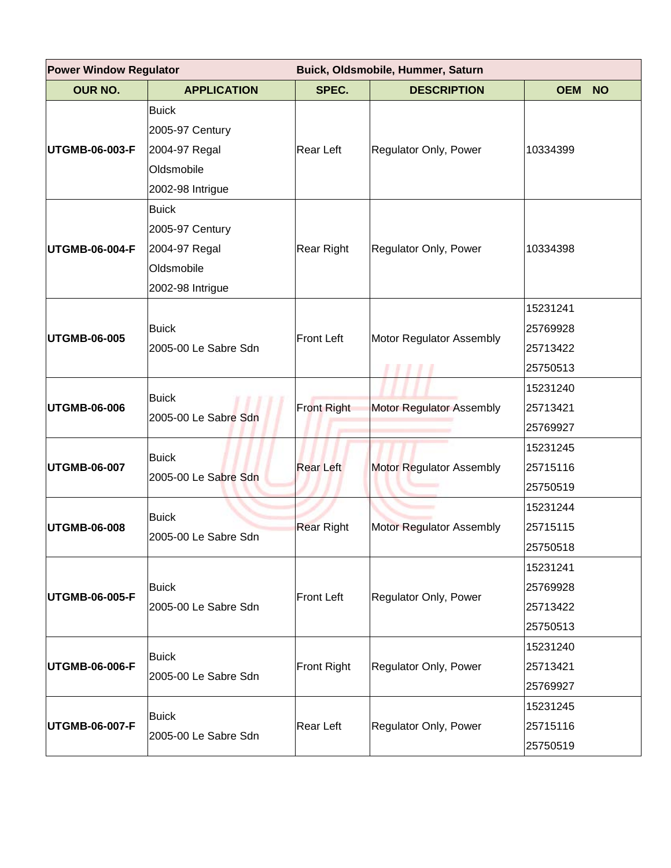| <b>Power Window Regulator</b> |                                                                                    | Buick, Oldsmobile, Hummer, Saturn |                                 |                                              |  |
|-------------------------------|------------------------------------------------------------------------------------|-----------------------------------|---------------------------------|----------------------------------------------|--|
| <b>OUR NO.</b>                | <b>APPLICATION</b>                                                                 | SPEC.                             | <b>DESCRIPTION</b>              | <b>OEM</b><br><b>NO</b>                      |  |
| UTGMB-06-003-F                | <b>Buick</b><br>2005-97 Century<br>2004-97 Regal<br>Oldsmobile<br>2002-98 Intrigue | Rear Left                         | Regulator Only, Power           | 10334399                                     |  |
| UTGMB-06-004-F                | <b>Buick</b><br>2005-97 Century<br>2004-97 Regal<br>Oldsmobile<br>2002-98 Intrigue | <b>Rear Right</b>                 | Regulator Only, Power           | 10334398                                     |  |
| UTGMB-06-005                  | <b>Buick</b><br>2005-00 Le Sabre Sdn                                               | <b>Front Left</b>                 | Motor Regulator Assembly        | 15231241<br>25769928<br>25713422<br>25750513 |  |
| <b>UTGMB-06-006</b>           | <b>Buick</b><br>2005-00 Le Sabre Sdn                                               | <b>Front Right</b>                | <b>Motor Regulator Assembly</b> | 15231240<br>25713421<br>25769927             |  |
| <b>UTGMB-06-007</b>           | <b>Buick</b><br>2005-00 Le Sabre Sdn                                               | <b>Rear Left</b>                  | <b>Motor Regulator Assembly</b> | 15231245<br>25715116<br>25750519             |  |
| <b>UTGMB-06-008</b>           | <b>Buick</b><br>2005-00 Le Sabre Sdn                                               | <b>Rear Right</b>                 | Motor Regulator Assembly        | 15231244<br>25715115<br>25750518             |  |
| UTGMB-06-005-F                | <b>Buick</b><br>2005-00 Le Sabre Sdn                                               | <b>Front Left</b>                 | Regulator Only, Power           | 15231241<br>25769928<br>25713422<br>25750513 |  |
| UTGMB-06-006-F                | <b>Buick</b><br>2005-00 Le Sabre Sdn                                               | Front Right                       | Regulator Only, Power           | 15231240<br>25713421<br>25769927             |  |
| UTGMB-06-007-F                | <b>Buick</b><br>2005-00 Le Sabre Sdn                                               | Rear Left                         | Regulator Only, Power           | 15231245<br>25715116<br>25750519             |  |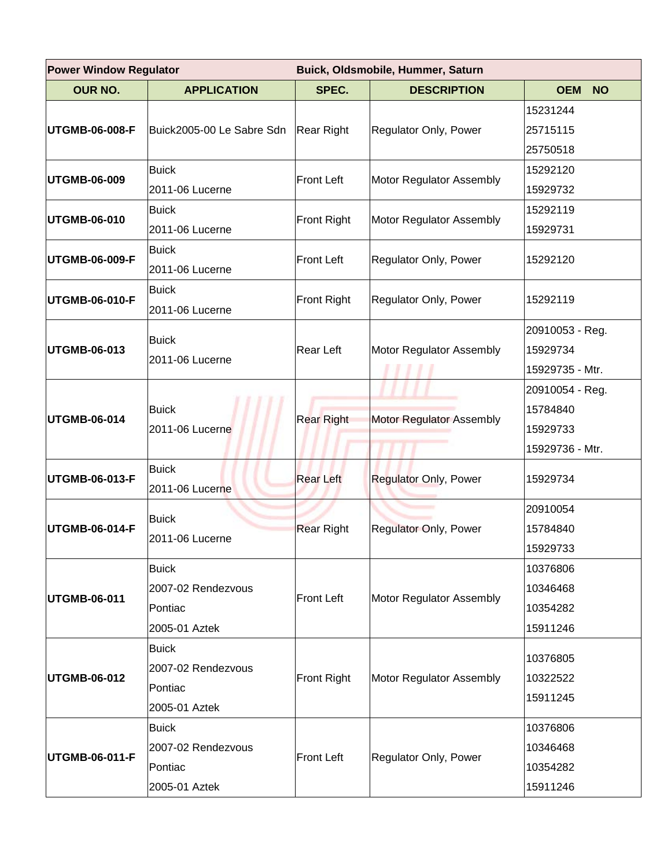| <b>Power Window Regulator</b> |                           | Buick, Oldsmobile, Hummer, Saturn |                              |                         |  |
|-------------------------------|---------------------------|-----------------------------------|------------------------------|-------------------------|--|
| <b>OUR NO.</b>                | <b>APPLICATION</b>        | SPEC.                             | <b>DESCRIPTION</b>           | <b>OEM</b><br><b>NO</b> |  |
| UTGMB-06-008-F                |                           | Rear Right                        | Regulator Only, Power        | 15231244                |  |
|                               | Buick2005-00 Le Sabre Sdn |                                   |                              | 25715115                |  |
|                               |                           |                                   |                              | 25750518                |  |
| UTGMB-06-009                  | <b>Buick</b>              | <b>Front Left</b>                 | Motor Regulator Assembly     | 15292120                |  |
|                               | 2011-06 Lucerne           |                                   |                              | 15929732                |  |
|                               | <b>Buick</b>              |                                   |                              | 15292119                |  |
| UTGMB-06-010                  | 2011-06 Lucerne           | Front Right                       | Motor Regulator Assembly     | 15929731                |  |
| UTGMB-06-009-F                | <b>Buick</b>              | <b>Front Left</b>                 |                              |                         |  |
|                               | 2011-06 Lucerne           |                                   | Regulator Only, Power        | 15292120                |  |
|                               | <b>Buick</b>              |                                   |                              |                         |  |
| UTGMB-06-010-F                | 2011-06 Lucerne           | <b>Front Right</b>                | Regulator Only, Power        | 15292119                |  |
|                               | <b>Buick</b>              |                                   |                              | 20910053 - Reg.         |  |
| UTGMB-06-013                  | 2011-06 Lucerne           | <b>Rear Left</b>                  | Motor Regulator Assembly     | 15929734                |  |
|                               |                           |                                   |                              | 15929735 - Mtr.         |  |
|                               |                           | <b>Rear Right</b>                 |                              | 20910054 - Reg.         |  |
| <b>UTGMB-06-014</b>           | <b>Buick</b>              |                                   | Motor Regulator Assembly     | 15784840                |  |
|                               | 2011-06 Lucerne           |                                   |                              | 15929733                |  |
|                               |                           |                                   |                              | 15929736 - Mtr.         |  |
| UTGMB-06-013-F                | <b>Buick</b>              | <b>Rear Left</b>                  | <b>Regulator Only, Power</b> | 15929734                |  |
|                               | 2011-06 Lucerne           |                                   |                              |                         |  |
|                               | <b>Buick</b>              | <b>Rear Right</b>                 | <b>Regulator Only, Power</b> | 20910054                |  |
| UTGMB-06-014-F                | 2011-06 Lucerne           |                                   |                              | 15784840                |  |
|                               |                           |                                   |                              | 15929733                |  |
|                               | <b>Buick</b>              | <b>Front Left</b>                 | Motor Regulator Assembly     | 10376806                |  |
| <b>UTGMB-06-011</b>           | 2007-02 Rendezvous        |                                   |                              | 10346468                |  |
|                               | Pontiac                   |                                   |                              | 10354282                |  |
|                               | 2005-01 Aztek             |                                   |                              | 15911246                |  |
|                               | <b>Buick</b>              |                                   |                              | 10376805                |  |
| <b>UTGMB-06-012</b>           | 2007-02 Rendezvous        | <b>Front Right</b>                | Motor Regulator Assembly     | 10322522                |  |
|                               | Pontiac                   |                                   |                              | 15911245                |  |
|                               | 2005-01 Aztek             |                                   |                              |                         |  |
| UTGMB-06-011-F                | <b>Buick</b>              |                                   | Regulator Only, Power        | 10376806                |  |
|                               | 2007-02 Rendezvous        | <b>Front Left</b>                 |                              | 10346468                |  |
|                               | Pontiac                   |                                   |                              | 10354282                |  |
|                               | 2005-01 Aztek             |                                   |                              | 15911246                |  |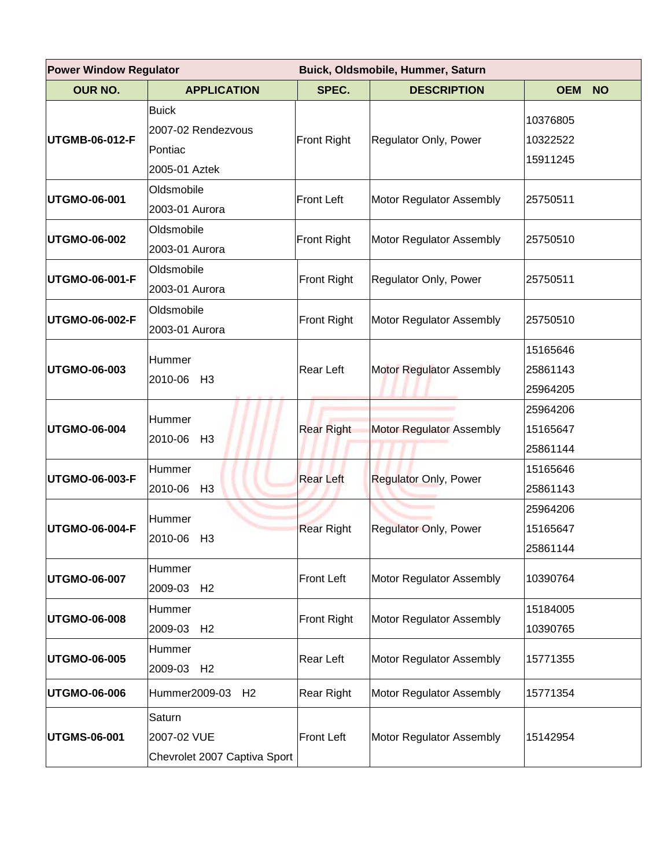| <b>Power Window Regulator</b> |                                                                | Buick, Oldsmobile, Hummer, Saturn |                              |                                  |  |
|-------------------------------|----------------------------------------------------------------|-----------------------------------|------------------------------|----------------------------------|--|
| <b>OUR NO.</b>                | <b>APPLICATION</b>                                             | SPEC.                             | <b>DESCRIPTION</b>           | <b>OEM</b><br><b>NO</b>          |  |
| UTGMB-06-012-F                | <b>Buick</b><br>2007-02 Rendezvous<br>Pontiac<br>2005-01 Aztek | Front Right                       | Regulator Only, Power        | 10376805<br>10322522<br>15911245 |  |
| <b>UTGMO-06-001</b>           | Oldsmobile<br>2003-01 Aurora                                   | <b>Front Left</b>                 | Motor Regulator Assembly     | 25750511                         |  |
| <b>UTGMO-06-002</b>           | Oldsmobile<br>2003-01 Aurora                                   | <b>Front Right</b>                | Motor Regulator Assembly     | 25750510                         |  |
| UTGMO-06-001-F                | Oldsmobile<br>2003-01 Aurora                                   | Front Right                       | Regulator Only, Power        | 25750511                         |  |
| <b>UTGMO-06-002-F</b>         | Oldsmobile<br>2003-01 Aurora                                   | <b>Front Right</b>                | Motor Regulator Assembly     | 25750510                         |  |
| UTGMO-06-003                  | Hummer<br>2010-06 H3                                           | Rear Left                         | Motor Regulator Assembly     | 15165646<br>25861143<br>25964205 |  |
| <b>UTGMO-06-004</b>           | Hummer<br>2010-06 H3                                           | <b>Rear Right</b>                 | Motor Regulator Assembly     | 25964206<br>15165647<br>25861144 |  |
| UTGMO-06-003-F                | Hummer<br>2010-06<br>H <sub>3</sub>                            | <b>Rear Left</b>                  | <b>Regulator Only, Power</b> | 15165646<br>25861143             |  |
| UTGMO-06-004-F                | Hummer<br>2010-06 H3                                           | <b>Rear Right</b>                 | Regulator Only, Power        | 25964206<br>15165647<br>25861144 |  |
| <b>UTGMO-06-007</b>           | Hummer<br>2009-03 H2                                           | <b>Front Left</b>                 | Motor Regulator Assembly     | 10390764                         |  |
| <b>UTGMO-06-008</b>           | Hummer<br>2009-03 H2                                           | Front Right                       | Motor Regulator Assembly     | 15184005<br>10390765             |  |
| UTGMO-06-005                  | Hummer<br>2009-03 H2                                           | Rear Left                         | Motor Regulator Assembly     | 15771355                         |  |
| <b>UTGMO-06-006</b>           | Hummer2009-03<br>H <sub>2</sub>                                | <b>Rear Right</b>                 | Motor Regulator Assembly     | 15771354                         |  |
| <b>UTGMS-06-001</b>           | Saturn<br>2007-02 VUE<br>Chevrolet 2007 Captiva Sport          | <b>Front Left</b>                 | Motor Regulator Assembly     | 15142954                         |  |